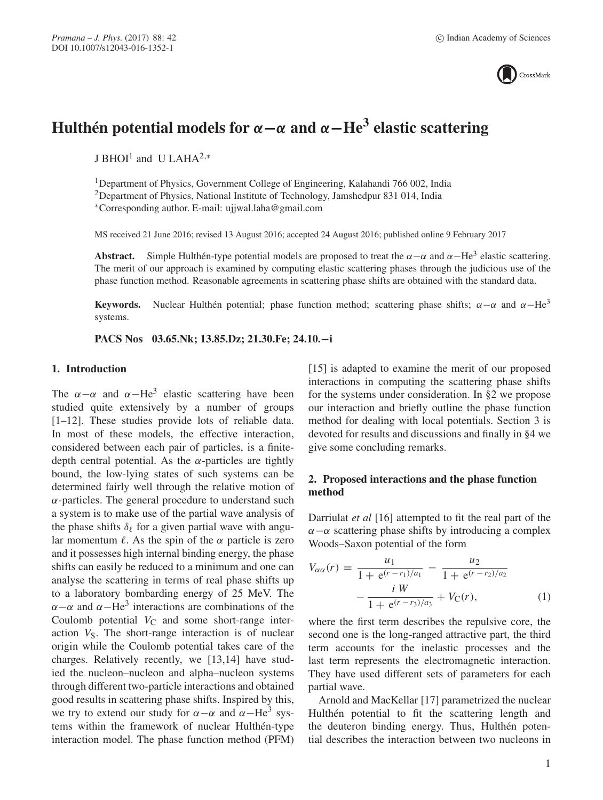

# **Hulthén potential models for**  $\alpha - \alpha$  and  $\alpha - \text{He}^3$  elastic scattering

J BHOI1 and U LAHA2,<sup>∗</sup>

1Department of Physics, Government College of Engineering, Kalahandi 766 002, India <sup>2</sup>Department of Physics, National Institute of Technology, Jamshedpur 831 014, India ∗Corresponding author. E-mail: ujjwal.laha@gmail.com

MS received 21 June 2016; revised 13 August 2016; accepted 24 August 2016; published online 9 February 2017

**Abstract.** Simple Hulthén-type potential models are proposed to treat the  $\alpha - \alpha$  and  $\alpha$ -He<sup>3</sup> elastic scattering. The merit of our approach is examined by computing elastic scattering phases through the judicious use of the phase function method. Reasonable agreements in scattering phase shifts are obtained with the standard data.

**Keywords.** Nuclear Hulthén potential; phase function method; scattering phase shifts;  $\alpha - \alpha$  and  $\alpha - He^{3}$ systems.

**PACS Nos 03.65.Nk; 13.85.Dz; 21.30.Fe; 24.10.−i**

## **1. Introduction**

The  $\alpha-\alpha$  and  $\alpha-\text{He}^3$  elastic scattering have been studied quite extensively by a number of groups [1–12]. These studies provide lots of reliable data. In most of these models, the effective interaction, considered between each pair of particles, is a finitedepth central potential. As the  $\alpha$ -particles are tightly bound, the low-lying states of such systems can be determined fairly well through the relative motion of  $\alpha$ -particles. The general procedure to understand such a system is to make use of the partial wave analysis of the phase shifts  $\delta_{\ell}$  for a given partial wave with angular momentum  $\ell$ . As the spin of the  $\alpha$  particle is zero and it possesses high internal binding energy, the phase shifts can easily be reduced to a minimum and one can analyse the scattering in terms of real phase shifts up to a laboratory bombarding energy of 25 MeV. The  $\alpha-\alpha$  and  $\alpha-\text{He}^3$  interactions are combinations of the Coulomb potential  $V_{\text{C}}$  and some short-range interaction  $V<sub>S</sub>$ . The short-range interaction is of nuclear origin while the Coulomb potential takes care of the charges. Relatively recently, we [13,14] have studied the nucleon–nucleon and alpha–nucleon systems through different two-particle interactions and obtained good results in scattering phase shifts. Inspired by this, we try to extend our study for  $\alpha-\alpha$  and  $\alpha-\text{He}^3$  systems within the framework of nuclear Hulthén-type interaction model. The phase function method (PFM) [15] is adapted to examine the merit of our proposed interactions in computing the scattering phase shifts for the systems under consideration. In §2 we propose our interaction and briefly outline the phase function method for dealing with local potentials. Section 3 is devoted for results and discussions and finally in §4 we give some concluding remarks.

## **2. Proposed interactions and the phase function method**

Darriulat *et al* [16] attempted to fit the real part of the  $\alpha-\alpha$  scattering phase shifts by introducing a complex Woods–Saxon potential of the form

$$
V_{\alpha\alpha}(r) = \frac{u_1}{1 + e^{(r - r_1)/a_1}} - \frac{u_2}{1 + e^{(r - r_2)/a_2}} - \frac{i W}{1 + e^{(r - r_3)/a_3}} + V_{\rm C}(r),
$$
 (1)

where the first term describes the repulsive core, the second one is the long-ranged attractive part, the third term accounts for the inelastic processes and the last term represents the electromagnetic interaction. They have used different sets of parameters for each partial wave.

Arnold and MacKellar [17] parametrized the nuclear Hulthén potential to fit the scattering length and the deuteron binding energy. Thus, Hulthén potential describes the interaction between two nucleons in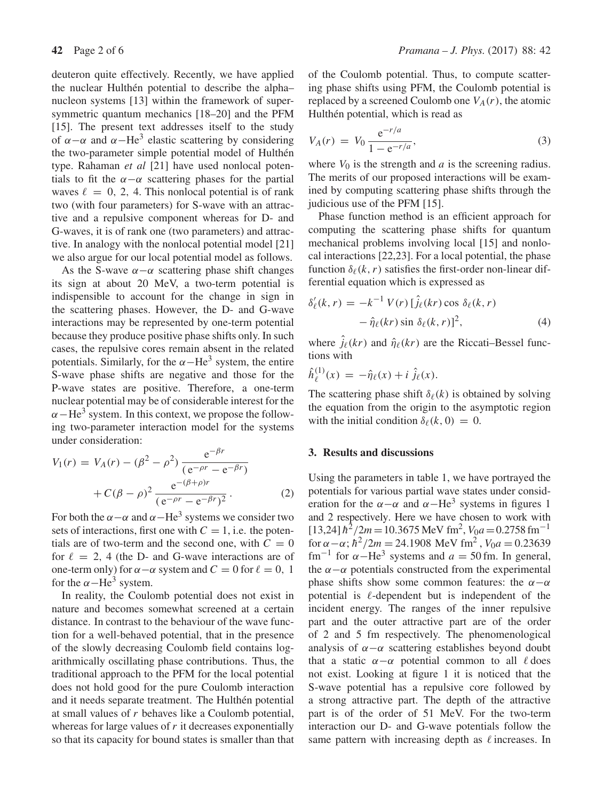deuteron quite effectively. Recently, we have applied the nuclear Hulthén potential to describe the alpha– nucleon systems [13] within the framework of supersymmetric quantum mechanics [18–20] and the PFM [15]. The present text addresses itself to the study of  $\alpha-\alpha$  and  $\alpha-\text{He}^3$  elastic scattering by considering the two-parameter simple potential model of Hulthén type. Rahaman *et al* [21] have used nonlocal potentials to fit the  $\alpha-\alpha$  scattering phases for the partial waves  $\ell = 0, 2, 4$ . This nonlocal potential is of rank two (with four parameters) for S-wave with an attractive and a repulsive component whereas for D- and G-waves, it is of rank one (two parameters) and attractive. In analogy with the nonlocal potential model [21] we also argue for our local potential model as follows.

As the S-wave  $\alpha-\alpha$  scattering phase shift changes its sign at about 20 MeV, a two-term potential is indispensible to account for the change in sign in the scattering phases. However, the D- and G-wave interactions may be represented by one-term potential because they produce positive phase shifts only. In such cases, the repulsive cores remain absent in the related potentials. Similarly, for the  $\alpha$ -He<sup>3</sup> system, the entire S-wave phase shifts are negative and those for the P-wave states are positive. Therefore, a one-term nuclear potential may be of considerable interest for the  $\alpha$ −He<sup>3</sup> system. In this context, we propose the following two-parameter interaction model for the systems under consideration:

$$
V_1(r) = V_A(r) - (\beta^2 - \rho^2) \frac{e^{-\beta r}}{(e^{-\rho r} - e^{-\beta r})} + C(\beta - \rho)^2 \frac{e^{-(\beta + \rho)r}}{(e^{-\rho r} - e^{-\beta r})^2}.
$$
 (2)

For both the  $\alpha - \alpha$  and  $\alpha - He^3$  systems we consider two sets of interactions, first one with  $C = 1$ , i.e. the potentials are of two-term and the second one, with  $C = 0$ for  $\ell = 2$ , 4 (the D- and G-wave interactions are of one-term only) for  $\alpha - \alpha$  system and  $C = 0$  for  $\ell = 0, 1$ for the  $\alpha$ −He<sup>3</sup> system.

In reality, the Coulomb potential does not exist in nature and becomes somewhat screened at a certain distance. In contrast to the behaviour of the wave function for a well-behaved potential, that in the presence of the slowly decreasing Coulomb field contains logarithmically oscillating phase contributions. Thus, the traditional approach to the PFM for the local potential does not hold good for the pure Coulomb interaction and it needs separate treatment. The Hulthén potential at small values of r behaves like a Coulomb potential, whereas for large values of  $r$  it decreases exponentially so that its capacity for bound states is smaller than that of the Coulomb potential. Thus, to compute scattering phase shifts using PFM, the Coulomb potential is replaced by a screened Coulomb one  $V_A(r)$ , the atomic Hulthén potential, which is read as

$$
V_A(r) = V_0 \frac{e^{-r/a}}{1 - e^{-r/a}},
$$
\n(3)

where  $V_0$  is the strength and  $a$  is the screening radius. The merits of our proposed interactions will be examined by computing scattering phase shifts through the judicious use of the PFM [15].

Phase function method is an efficient approach for computing the scattering phase shifts for quantum mechanical problems involving local [15] and nonlocal interactions [22,23]. For a local potential, the phase function  $\delta_{\ell}(k, r)$  satisfies the first-order non-linear differential equation which is expressed as

$$
\delta'_{\ell}(k,r) = -k^{-1} V(r) \left[ \hat{j}_{\ell}(kr) \cos \delta_{\ell}(k,r) - \hat{\eta}_{\ell}(kr) \sin \delta_{\ell}(k,r) \right]^2, \tag{4}
$$

where  $j_{\ell}(kr)$  and  $\hat{\eta}_{\ell}(kr)$  are the Riccati–Bessel functions with

$$
\hat{h}^{(1)}_{\ell}(x) = -\hat{\eta}_{\ell}(x) + i \hat{j}_{\ell}(x).
$$

The scattering phase shift  $\delta_{\ell}(k)$  is obtained by solving the equation from the origin to the asymptotic region with the initial condition  $\delta_{\ell}(k, 0) = 0$ .

### **3. Results and discussions**

Using the parameters in table 1, we have portrayed the potentials for various partial wave states under consideration for the  $\alpha-\alpha$  and  $\alpha-\text{He}^3$  systems in figures 1 and 2 respectively. Here we have chosen to work with  $[13,24]$   $\hbar^2/2m = 10.3675$  MeV fm<sup>2</sup>,  $V_0a = 0.2758$  fm<sup>-1</sup> for  $\alpha - \alpha$ ;  $\hbar^2 / 2m = 24.1908$  MeV fm<sup>2</sup>,  $V_0 a = 0.23639$ fm<sup>-1</sup> for  $\alpha$ −He<sup>3</sup> systems and  $a = 50$  fm. In general, the  $\alpha-\alpha$  potentials constructed from the experimental phase shifts show some common features: the  $\alpha-\alpha$ potential is  $\ell$ -dependent but is independent of the incident energy. The ranges of the inner repulsive part and the outer attractive part are of the order of 2 and 5 fm respectively. The phenomenological analysis of  $\alpha-\alpha$  scattering establishes beyond doubt that a static  $\alpha-\alpha$  potential common to all  $\ell$  does not exist. Looking at figure 1 it is noticed that the S-wave potential has a repulsive core followed by a strong attractive part. The depth of the attractive part is of the order of 51 MeV. For the two-term interaction our D- and G-wave potentials follow the same pattern with increasing depth as  $\ell$  increases. In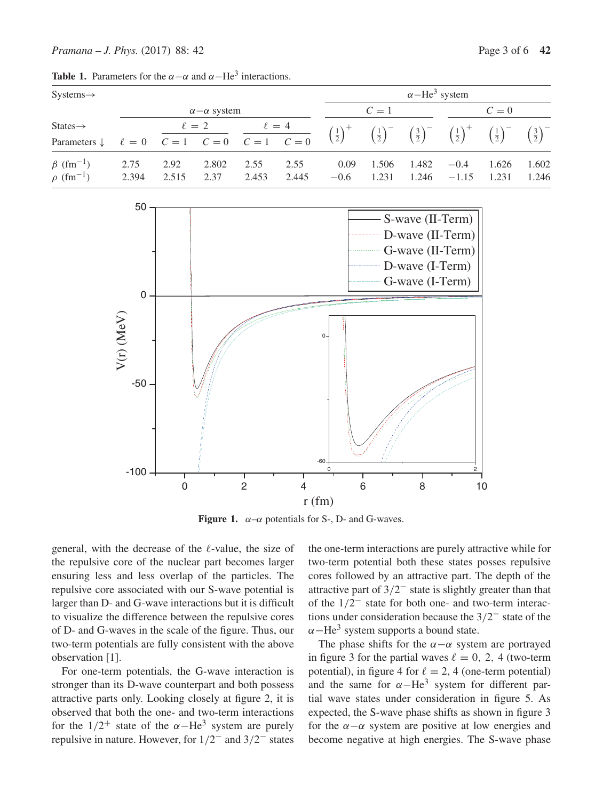| $Systems \rightarrow$                                     |                        |               |               |                                                                                                                                                                           |               | $\alpha$ -He <sup>3</sup> system |                |                |                                                                                                                                                                      |                |                |
|-----------------------------------------------------------|------------------------|---------------|---------------|---------------------------------------------------------------------------------------------------------------------------------------------------------------------------|---------------|----------------------------------|----------------|----------------|----------------------------------------------------------------------------------------------------------------------------------------------------------------------|----------------|----------------|
|                                                           | $\alpha-\alpha$ system |               |               |                                                                                                                                                                           |               | $C=1$                            |                |                | $C=0$                                                                                                                                                                |                |                |
| $States\rightarrow$                                       |                        |               |               | States $\rightarrow$ $\ell = 0$ $\frac{\ell = 2}{C = 1}$ $\frac{\ell = 4}{C = 0}$<br>Parameters $\downarrow$ $\ell = 0$ $\frac{\ell = 2}{C = 1}$ $\frac{\ell = 4}{C = 0}$ |               |                                  |                |                | $\left(\frac{1}{2}\right)^+$ $\left(\frac{1}{2}\right)^ \left(\frac{3}{2}\right)^ \left(\frac{1}{2}\right)^+$ $\left(\frac{1}{2}\right)^ \left(\frac{3}{2}\right)^-$ |                |                |
| $\beta$ (fm <sup>-1</sup> )<br>$\rho$ (fm <sup>-1</sup> ) | 2.75<br>2.394          | 2.92<br>2.515 | 2.802<br>2.37 | 2.55<br>2.453                                                                                                                                                             | 2.55<br>2.445 | 0.09<br>$-0.6$                   | 1.506<br>1.231 | 1.482<br>1.246 | $-0.4$<br>$-1.15$                                                                                                                                                    | 1.626<br>1.231 | 1.602<br>1.246 |

**Table 1.** Parameters for the  $\alpha - \alpha$  and  $\alpha - \text{He}^3$  interactions.



**Figure 1.**  $\alpha-\alpha$  potentials for S-, D- and G-waves.

general, with the decrease of the  $\ell$ -value, the size of the repulsive core of the nuclear part becomes larger ensuring less and less overlap of the particles. The repulsive core associated with our S-wave potential is larger than D- and G-wave interactions but it is difficult to visualize the difference between the repulsive cores of D- and G-waves in the scale of the figure. Thus, our two-term potentials are fully consistent with the above observation [1].

For one-term potentials, the G-wave interaction is stronger than its D-wave counterpart and both possess attractive parts only. Looking closely at figure 2, it is observed that both the one- and two-term interactions for the  $1/2^+$  state of the  $\alpha-\text{He}^3$  system are purely repulsive in nature. However, for  $1/2^-$  and  $3/2^-$  states the one-term interactions are purely attractive while for two-term potential both these states posses repulsive cores followed by an attractive part. The depth of the attractive part of 3/2− state is slightly greater than that of the 1/2− state for both one- and two-term interactions under consideration because the 3/2− state of the  $\alpha$ −He<sup>3</sup> system supports a bound state.

The phase shifts for the  $\alpha-\alpha$  system are portrayed in figure 3 for the partial waves  $\ell = 0, 2, 4$  (two-term potential), in figure 4 for  $\ell = 2$ , 4 (one-term potential) and the same for  $\alpha$ −He<sup>3</sup> system for different partial wave states under consideration in figure 5. As expected, the S-wave phase shifts as shown in figure 3 for the  $\alpha-\alpha$  system are positive at low energies and become negative at high energies. The S-wave phase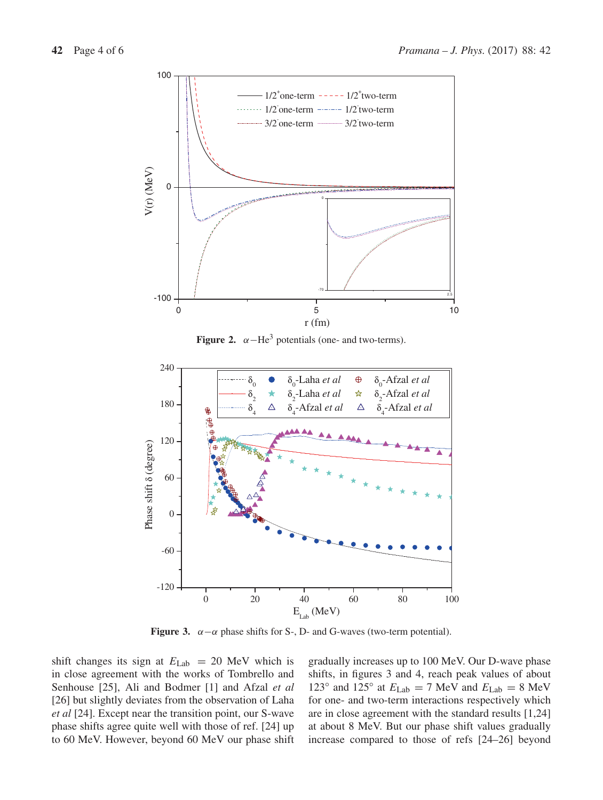

**Figure 2.**  $\alpha$ -He<sup>3</sup> potentials (one- and two-terms).



**Figure 3.**  $\alpha - \alpha$  phase shifts for S-, D- and G-waves (two-term potential).

shift changes its sign at  $E_{\text{Lab}} = 20$  MeV which is in close agreement with the works of Tombrello and Senhouse [25], Ali and Bodmer [1] and Afzal *et al* [26] but slightly deviates from the observation of Laha *et al* [24]. Except near the transition point, our S-wave phase shifts agree quite well with those of ref. [24] up to 60 MeV. However, beyond 60 MeV our phase shift gradually increases up to 100 MeV. Our D-wave phase shifts, in figures 3 and 4, reach peak values of about 123° and 125° at  $E_{\text{Lab}} = 7$  MeV and  $E_{\text{Lab}} = 8$  MeV for one- and two-term interactions respectively which are in close agreement with the standard results [1,24] at about 8 MeV. But our phase shift values gradually increase compared to those of refs [24–26] beyond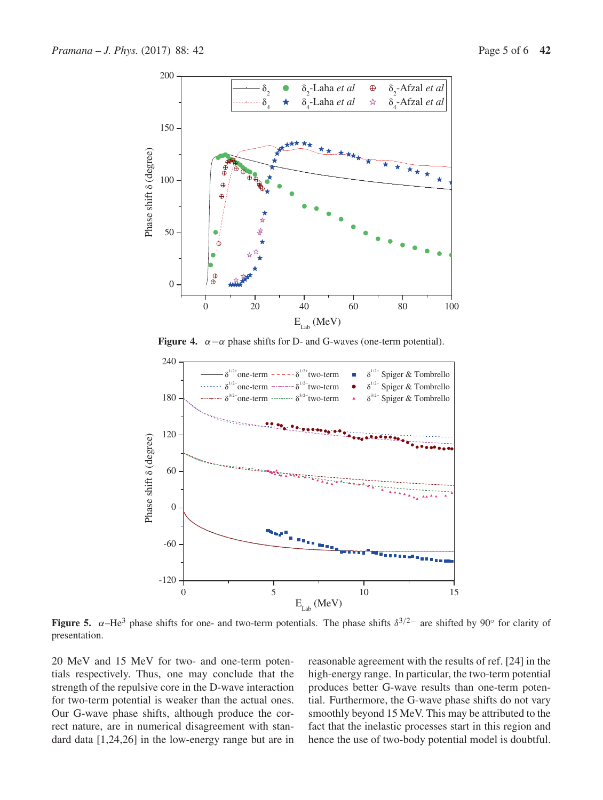

**Figure 4.**  $\alpha - \alpha$  phase shifts for D- and G-waves (one-term potential).



**Figure 5.**  $\alpha$ –He<sup>3</sup> phase shifts for one- and two-term potentials. The phase shifts  $\delta^{3/2-}$  are shifted by 90° for clarity of presentation.

20 MeV and 15 MeV for two- and one-term potentials respectively. Thus, one may conclude that the strength of the repulsive core in the D-wave interaction for two-term potential is weaker than the actual ones. Our G-wave phase shifts, although produce the correct nature, are in numerical disagreement with standard data [1,24,26] in the low-energy range but are in reasonable agreement with the results of ref. [24] in the high-energy range. In particular, the two-term potential produces better G-wave results than one-term potential. Furthermore, the G-wave phase shifts do not vary smoothly beyond 15 MeV. This may be attributed to the fact that the inelastic processes start in this region and hence the use of two-body potential model is doubtful.